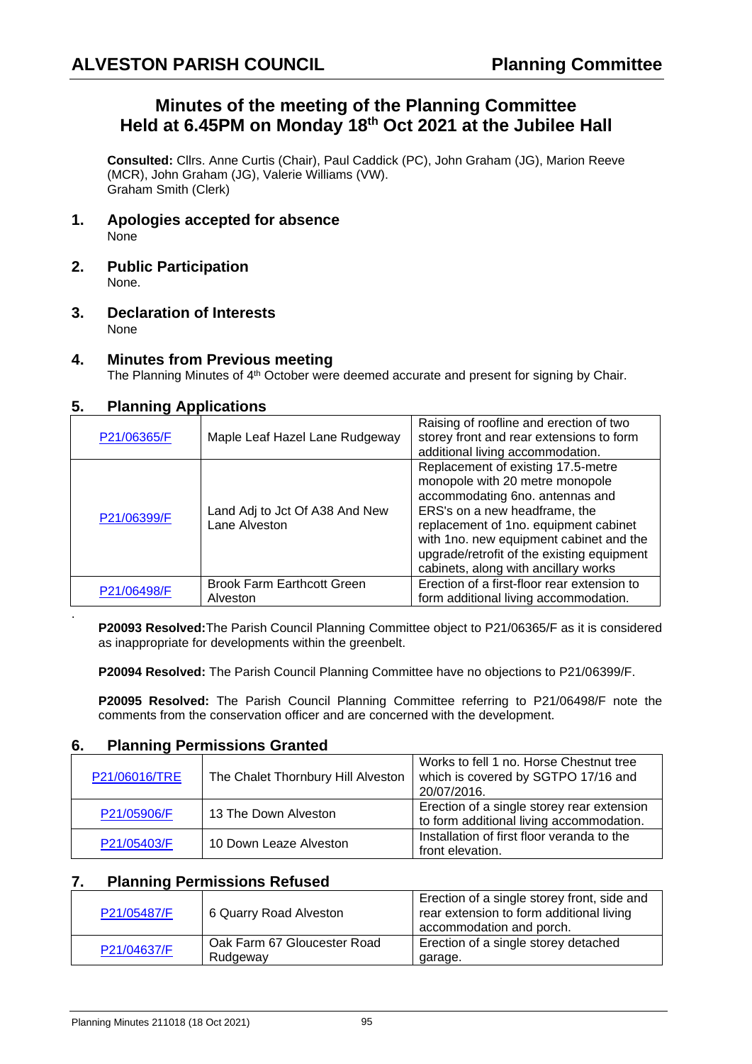# **Minutes of the meeting of the Planning Committee Held at 6.45PM on Monday 18th Oct 2021 at the Jubilee Hall**

**Consulted:** Cllrs. Anne Curtis (Chair), Paul Caddick (PC), John Graham (JG), Marion Reeve (MCR), John Graham (JG), Valerie Williams (VW). Graham Smith (Clerk)

- **1. Apologies accepted for absence** None
- **2. Public Participation** None.
- **3. Declaration of Interests** None

#### **4. Minutes from Previous meeting**

The Planning Minutes of 4<sup>th</sup> October were deemed accurate and present for signing by Chair.

### **5. Planning Applications**

.

| P21/06365/F | Maple Leaf Hazel Lane Rudgeway                  | Raising of roofline and erection of two<br>storey front and rear extensions to form<br>additional living accommodation.                                                                                                                                                                                             |
|-------------|-------------------------------------------------|---------------------------------------------------------------------------------------------------------------------------------------------------------------------------------------------------------------------------------------------------------------------------------------------------------------------|
| P21/06399/F | Land Adj to Jct Of A38 And New<br>Lane Alveston | Replacement of existing 17.5-metre<br>monopole with 20 metre monopole<br>accommodating 6no. antennas and<br>ERS's on a new headframe, the<br>replacement of 1no. equipment cabinet<br>with 1no. new equipment cabinet and the<br>upgrade/retrofit of the existing equipment<br>cabinets, along with ancillary works |
| P21/06498/F | <b>Brook Farm Earthcott Green</b><br>Alveston   | Erection of a first-floor rear extension to<br>form additional living accommodation.                                                                                                                                                                                                                                |

**P20093 Resolved:**The Parish Council Planning Committee object to P21/06365/F as it is considered as inappropriate for developments within the greenbelt.

**P20094 Resolved:** The Parish Council Planning Committee have no objections to P21/06399/F.

**P20095 Resolved:** The Parish Council Planning Committee referring to P21/06498/F note the comments from the conservation officer and are concerned with the development.

#### **6. Planning Permissions Granted**

| P21/06016/TRE | The Chalet Thornbury Hill Alveston | Works to fell 1 no. Horse Chestnut tree<br>which is covered by SGTPO 17/16 and<br>20/07/2016. |
|---------------|------------------------------------|-----------------------------------------------------------------------------------------------|
| P21/05906/F   | 13 The Down Alveston               | Erection of a single storey rear extension<br>to form additional living accommodation.        |
| P21/05403/F   | 10 Down Leaze Alveston             | Installation of first floor veranda to the<br>front elevation.                                |

#### **7. Planning Permissions Refused**

| P21/05487/F | 6 Quarry Road Alveston                  | Erection of a single storey front, side and<br>rear extension to form additional living<br>accommodation and porch. |
|-------------|-----------------------------------------|---------------------------------------------------------------------------------------------------------------------|
| P21/04637/F | Oak Farm 67 Gloucester Road<br>Rudgeway | Erection of a single storey detached<br>garage.                                                                     |